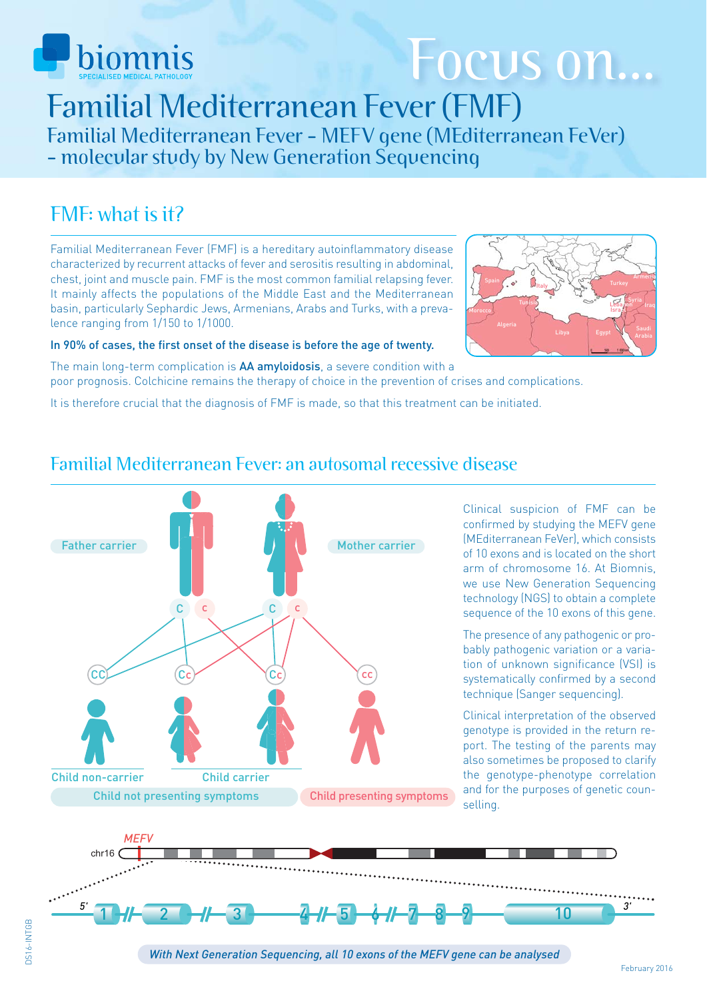

# Focus on...

Familial Mediterranean Fever (FMF) Familial Mediterranean Fever - MEFV gene (MEditerranean FeVer) - molecular study by New Generation Sequencing

## FMF: what is it?

Familial Mediterranean Fever (FMF) is a hereditary autoinflammatory disease characterized by recurrent attacks of fever and serositis resulting in abdominal, chest, joint and muscle pain. FMF is the most common familial relapsing fever. It mainly affects the populations of the Middle East and the Mediterranean basin, particularly Sephardic Jews, Armenians, Arabs and Turks, with a prevalence ranging from 1/150 to 1/1000.



#### In 90% of cases, the first onset of the disease is before the age of twenty.

The main long-term complication is AA amyloidosis, a severe condition with a poor prognosis. Colchicine remains the therapy of choice in the prevention of crises and complications.

It is therefore crucial that the diagnosis of FMF is made, so that this treatment can be initiated.

# Child presenting symptoms Child non-carrier Child carrier Child not presenting symptoms  $CC$   $(Cc)$   $(Cc)$  $C$   $C$ Father carrier Moto Mother carrier cc

Clinical suspicion of FMF can be confirmed by studying the MEFV gene (MEditerranean FeVer), which consists of 10 exons and is located on the short arm of chromosome 16. At Biomnis, we use New Generation Sequencing technology (NGS) to obtain a complete sequence of the 10 exons of this gene.

The presence of any pathogenic or probably pathogenic variation or a variation of unknown significance (VSI) is systematically confirmed by a second technique (Sanger sequencing).

Clinical interpretation of the observed genotype is provided in the return report. The testing of the parents may also sometimes be proposed to clarify the genotype-phenotype correlation and for the purposes of genetic counselling.



## Familial Mediterranean Fever: an autosomal recessive disease